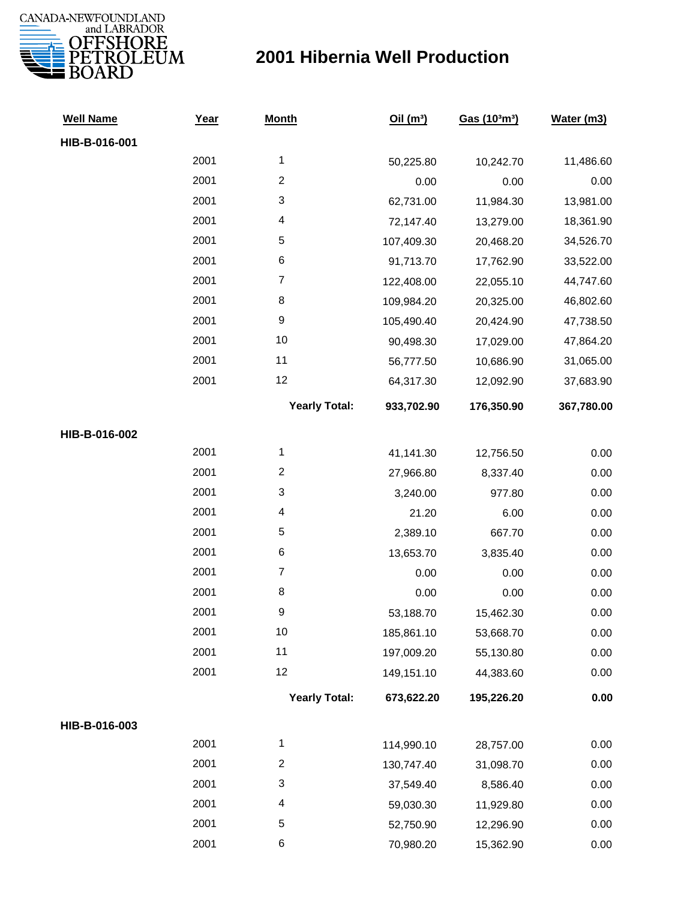

| <b>Well Name</b> | Year | <b>Month</b>            | Oil $(m^3)$ | Gas (103m3) | Water (m3) |
|------------------|------|-------------------------|-------------|-------------|------------|
| HIB-B-016-001    |      |                         |             |             |            |
|                  | 2001 | $\mathbf 1$             | 50,225.80   | 10,242.70   | 11,486.60  |
|                  | 2001 | $\overline{2}$          | 0.00        | 0.00        | 0.00       |
|                  | 2001 | 3                       | 62,731.00   | 11,984.30   | 13,981.00  |
|                  | 2001 | 4                       | 72,147.40   | 13,279.00   | 18,361.90  |
|                  | 2001 | 5                       | 107,409.30  | 20,468.20   | 34,526.70  |
|                  | 2001 | 6                       | 91,713.70   | 17,762.90   | 33,522.00  |
|                  | 2001 | $\boldsymbol{7}$        | 122,408.00  | 22,055.10   | 44,747.60  |
|                  | 2001 | 8                       | 109,984.20  | 20,325.00   | 46,802.60  |
|                  | 2001 | 9                       | 105,490.40  | 20,424.90   | 47,738.50  |
|                  | 2001 | 10                      | 90,498.30   | 17,029.00   | 47,864.20  |
|                  | 2001 | 11                      | 56,777.50   | 10,686.90   | 31,065.00  |
|                  | 2001 | 12                      | 64,317.30   | 12,092.90   | 37,683.90  |
|                  |      | <b>Yearly Total:</b>    | 933,702.90  | 176,350.90  | 367,780.00 |
| HIB-B-016-002    |      |                         |             |             |            |
|                  | 2001 | $\mathbf{1}$            | 41,141.30   | 12,756.50   | 0.00       |
|                  | 2001 | $\overline{\mathbf{c}}$ | 27,966.80   | 8,337.40    | 0.00       |
|                  | 2001 | 3                       | 3,240.00    | 977.80      | 0.00       |
|                  | 2001 | 4                       | 21.20       | 6.00        | 0.00       |
|                  | 2001 | 5                       | 2,389.10    | 667.70      | 0.00       |
|                  | 2001 | 6                       | 13,653.70   | 3,835.40    | 0.00       |
|                  | 2001 | $\boldsymbol{7}$        | 0.00        | 0.00        | 0.00       |
|                  | 2001 | 8                       | 0.00        | 0.00        | 0.00       |
|                  | 2001 | $\boldsymbol{9}$        | 53,188.70   | 15,462.30   | 0.00       |
|                  | 2001 | $10$                    | 185,861.10  | 53,668.70   | 0.00       |
|                  | 2001 | 11                      | 197,009.20  | 55,130.80   | 0.00       |
|                  | 2001 | 12                      | 149,151.10  | 44,383.60   | 0.00       |
|                  |      | <b>Yearly Total:</b>    | 673,622.20  | 195,226.20  | 0.00       |
| HIB-B-016-003    |      |                         |             |             |            |
|                  | 2001 | $\mathbf 1$             | 114,990.10  | 28,757.00   | 0.00       |
|                  | 2001 | $\overline{\mathbf{c}}$ | 130,747.40  | 31,098.70   | 0.00       |
|                  | 2001 | 3                       | 37,549.40   | 8,586.40    | 0.00       |
|                  | 2001 | 4                       | 59,030.30   | 11,929.80   | 0.00       |
|                  | 2001 | 5                       | 52,750.90   | 12,296.90   | 0.00       |
|                  | 2001 | 6                       | 70,980.20   | 15,362.90   | 0.00       |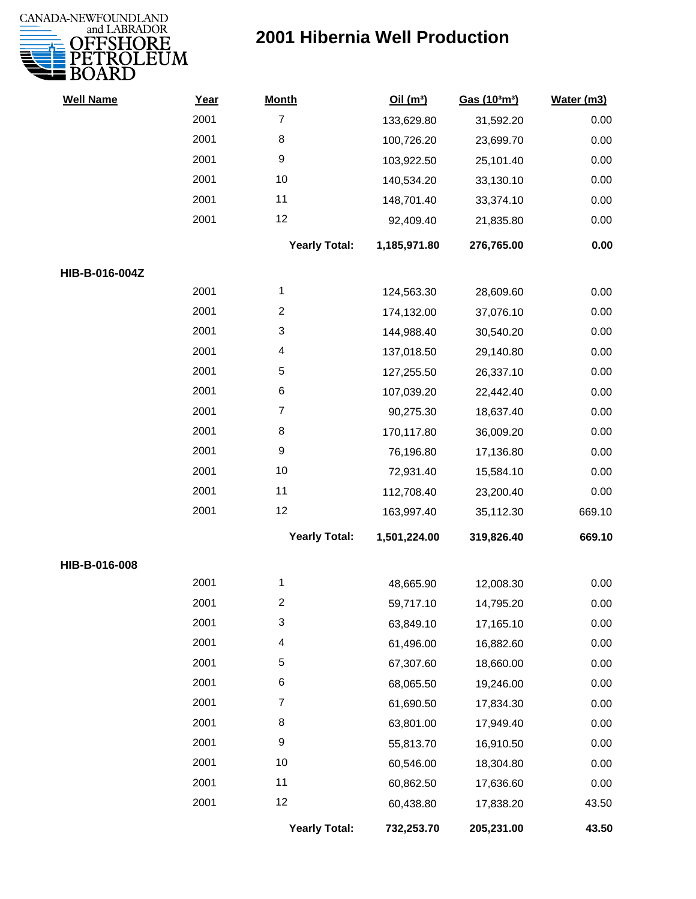

| <b>Well Name</b> | Year | <b>Month</b>              | Oil(m <sup>3</sup> ) | Gas (103m3) | Water (m3) |
|------------------|------|---------------------------|----------------------|-------------|------------|
|                  | 2001 | $\overline{7}$            | 133,629.80           | 31,592.20   | 0.00       |
|                  | 2001 | 8                         | 100,726.20           | 23,699.70   | 0.00       |
|                  | 2001 | $\boldsymbol{9}$          | 103,922.50           | 25,101.40   | 0.00       |
|                  | 2001 | 10                        | 140,534.20           | 33,130.10   | 0.00       |
|                  | 2001 | 11                        | 148,701.40           | 33,374.10   | 0.00       |
|                  | 2001 | 12                        | 92,409.40            | 21,835.80   | 0.00       |
|                  |      | <b>Yearly Total:</b>      | 1,185,971.80         | 276,765.00  | 0.00       |
| HIB-B-016-004Z   |      |                           |                      |             |            |
|                  | 2001 | $\mathbf 1$               | 124,563.30           | 28,609.60   | 0.00       |
|                  | 2001 | $\overline{2}$            | 174,132.00           | 37,076.10   | 0.00       |
|                  | 2001 | 3                         | 144,988.40           | 30,540.20   | 0.00       |
|                  | 2001 | 4                         | 137,018.50           | 29,140.80   | 0.00       |
|                  | 2001 | 5                         | 127,255.50           | 26,337.10   | 0.00       |
|                  | 2001 | $\,6$                     | 107,039.20           | 22,442.40   | 0.00       |
|                  | 2001 | $\overline{7}$            | 90,275.30            | 18,637.40   | 0.00       |
|                  | 2001 | 8                         | 170,117.80           | 36,009.20   | 0.00       |
|                  | 2001 | 9                         | 76,196.80            | 17,136.80   | 0.00       |
|                  | 2001 | 10                        | 72,931.40            | 15,584.10   | 0.00       |
|                  | 2001 | 11                        | 112,708.40           | 23,200.40   | 0.00       |
|                  | 2001 | 12                        | 163,997.40           | 35,112.30   | 669.10     |
|                  |      | <b>Yearly Total:</b>      | 1,501,224.00         | 319,826.40  | 669.10     |
| HIB-B-016-008    |      |                           |                      |             |            |
|                  | 2001 | 1                         | 48,665.90            | 12,008.30   | 0.00       |
|                  | 2001 | 2                         | 59,717.10            | 14,795.20   | 0.00       |
|                  | 2001 | $\ensuremath{\mathsf{3}}$ | 63,849.10            | 17,165.10   | 0.00       |
|                  | 2001 | 4                         | 61,496.00            | 16,882.60   | 0.00       |
|                  | 2001 | 5                         | 67,307.60            | 18,660.00   | 0.00       |
|                  | 2001 | 6                         | 68,065.50            | 19,246.00   | 0.00       |
|                  | 2001 | $\overline{7}$            | 61,690.50            | 17,834.30   | 0.00       |
|                  | 2001 | 8                         | 63,801.00            | 17,949.40   | 0.00       |
|                  | 2001 | 9                         | 55,813.70            | 16,910.50   | 0.00       |
|                  | 2001 | 10                        | 60,546.00            | 18,304.80   | 0.00       |
|                  | 2001 | 11                        | 60,862.50            | 17,636.60   | 0.00       |
|                  | 2001 | 12                        | 60,438.80            | 17,838.20   | 43.50      |
|                  |      | <b>Yearly Total:</b>      | 732,253.70           | 205,231.00  | 43.50      |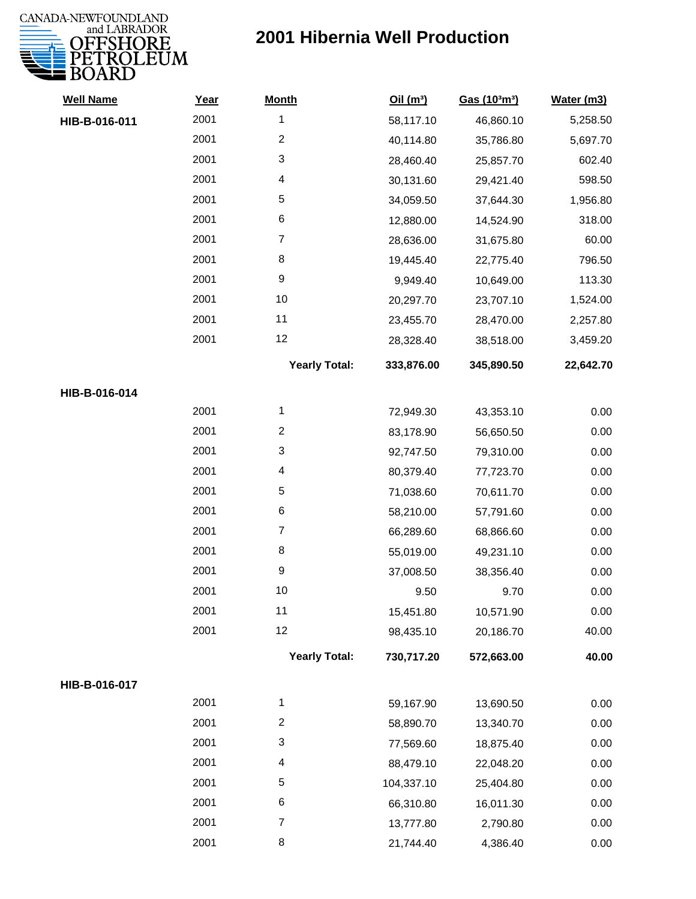

| <b>Well Name</b> | Year | <b>Month</b>         | Oil(m <sup>3</sup> ) | Gas (103m3) | Water (m3) |
|------------------|------|----------------------|----------------------|-------------|------------|
| HIB-B-016-011    | 2001 | $\mathbf{1}$         | 58,117.10            | 46,860.10   | 5,258.50   |
|                  | 2001 | $\overline{2}$       | 40,114.80            | 35,786.80   | 5,697.70   |
|                  | 2001 | 3                    | 28,460.40            | 25,857.70   | 602.40     |
|                  | 2001 | 4                    | 30,131.60            | 29,421.40   | 598.50     |
|                  | 2001 | $\sqrt{5}$           | 34,059.50            | 37,644.30   | 1,956.80   |
|                  | 2001 | 6                    | 12,880.00            | 14,524.90   | 318.00     |
|                  | 2001 | $\overline{7}$       | 28,636.00            | 31,675.80   | 60.00      |
|                  | 2001 | 8                    | 19,445.40            | 22,775.40   | 796.50     |
|                  | 2001 | $\boldsymbol{9}$     | 9,949.40             | 10,649.00   | 113.30     |
|                  | 2001 | 10                   | 20,297.70            | 23,707.10   | 1,524.00   |
|                  | 2001 | 11                   | 23,455.70            | 28,470.00   | 2,257.80   |
|                  | 2001 | 12                   | 28,328.40            | 38,518.00   | 3,459.20   |
|                  |      | <b>Yearly Total:</b> | 333,876.00           | 345,890.50  | 22,642.70  |
| HIB-B-016-014    |      |                      |                      |             |            |
|                  | 2001 | 1                    | 72,949.30            | 43,353.10   | 0.00       |
|                  | 2001 | $\overline{c}$       | 83,178.90            | 56,650.50   | 0.00       |
|                  | 2001 | 3                    | 92,747.50            | 79,310.00   | 0.00       |
|                  | 2001 | 4                    | 80,379.40            | 77,723.70   | 0.00       |
|                  | 2001 | $\sqrt{5}$           | 71,038.60            | 70,611.70   | 0.00       |
|                  | 2001 | 6                    | 58,210.00            | 57,791.60   | 0.00       |
|                  | 2001 | $\overline{7}$       | 66,289.60            | 68,866.60   | 0.00       |
|                  | 2001 | 8                    | 55,019.00            | 49,231.10   | 0.00       |
|                  | 2001 | $\boldsymbol{9}$     | 37,008.50            | 38,356.40   | 0.00       |
|                  | 2001 | 10                   | 9.50                 | 9.70        | 0.00       |
|                  | 2001 | 11                   | 15,451.80            | 10,571.90   | 0.00       |
|                  | 2001 | 12                   | 98,435.10            | 20,186.70   | 40.00      |
|                  |      | <b>Yearly Total:</b> | 730,717.20           | 572,663.00  | 40.00      |
| HIB-B-016-017    |      |                      |                      |             |            |
|                  | 2001 | 1                    | 59,167.90            | 13,690.50   | 0.00       |
|                  | 2001 | $\overline{2}$       | 58,890.70            | 13,340.70   | 0.00       |
|                  | 2001 | 3                    | 77,569.60            | 18,875.40   | 0.00       |
|                  | 2001 | 4                    | 88,479.10            | 22,048.20   | 0.00       |
|                  | 2001 | 5                    | 104,337.10           | 25,404.80   | 0.00       |
|                  | 2001 | 6                    | 66,310.80            | 16,011.30   | 0.00       |
|                  | 2001 | $\overline{7}$       | 13,777.80            | 2,790.80    | 0.00       |
|                  | 2001 | 8                    | 21,744.40            | 4,386.40    | 0.00       |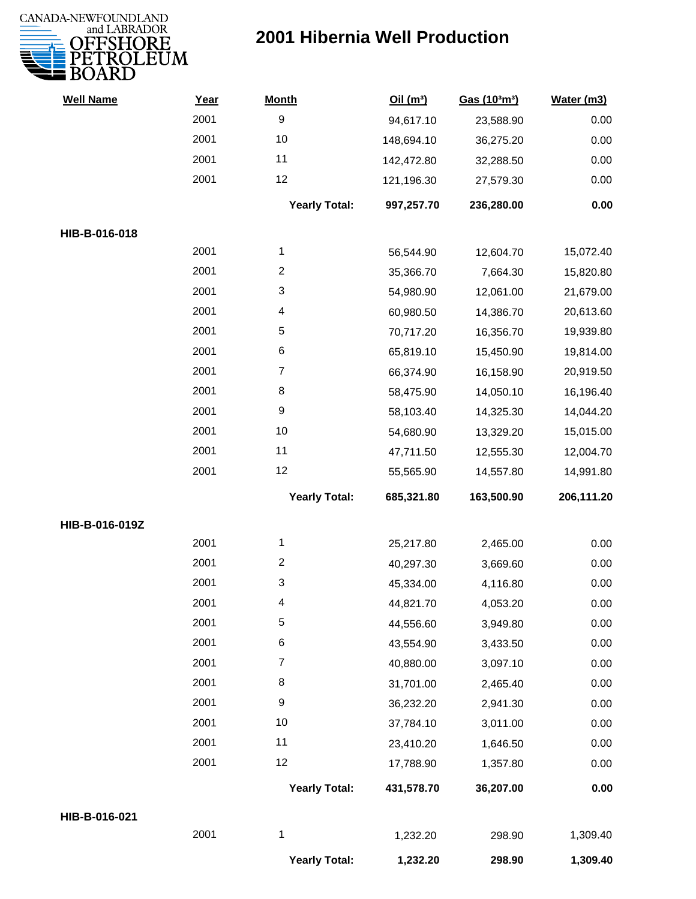

| <b>Well Name</b> | Year | <b>Month</b>         | Oil(m <sup>3</sup> ) | Gas (103m3) | Water (m3) |
|------------------|------|----------------------|----------------------|-------------|------------|
|                  | 2001 | $\boldsymbol{9}$     | 94,617.10            | 23,588.90   | 0.00       |
|                  | 2001 | 10                   | 148,694.10           | 36,275.20   | 0.00       |
|                  | 2001 | 11                   | 142,472.80           | 32,288.50   | 0.00       |
|                  | 2001 | 12                   | 121,196.30           | 27,579.30   | 0.00       |
|                  |      | <b>Yearly Total:</b> | 997,257.70           | 236,280.00  | 0.00       |
| HIB-B-016-018    |      |                      |                      |             |            |
|                  | 2001 | 1                    | 56,544.90            | 12,604.70   | 15,072.40  |
|                  | 2001 | $\overline{c}$       | 35,366.70            | 7,664.30    | 15,820.80  |
|                  | 2001 | 3                    | 54,980.90            | 12,061.00   | 21,679.00  |
|                  | 2001 | 4                    | 60,980.50            | 14,386.70   | 20,613.60  |
|                  | 2001 | 5                    | 70,717.20            | 16,356.70   | 19,939.80  |
|                  | 2001 | 6                    | 65,819.10            | 15,450.90   | 19,814.00  |
|                  | 2001 | 7                    | 66,374.90            | 16,158.90   | 20,919.50  |
|                  | 2001 | 8                    | 58,475.90            | 14,050.10   | 16,196.40  |
|                  | 2001 | 9                    | 58,103.40            | 14,325.30   | 14,044.20  |
|                  | 2001 | 10                   | 54,680.90            | 13,329.20   | 15,015.00  |
|                  | 2001 | 11                   | 47,711.50            | 12,555.30   | 12,004.70  |
|                  | 2001 | 12                   | 55,565.90            | 14,557.80   | 14,991.80  |
|                  |      | <b>Yearly Total:</b> | 685,321.80           | 163,500.90  | 206,111.20 |
| HIB-B-016-019Z   |      |                      |                      |             |            |
|                  | 2001 | 1                    | 25,217.80            | 2,465.00    | 0.00       |
|                  | 2001 | $\overline{c}$       | 40,297.30            | 3,669.60    | 0.00       |
|                  | 2001 | 3                    | 45,334.00            | 4,116.80    | 0.00       |
|                  | 2001 | 4                    | 44,821.70            | 4,053.20    | 0.00       |
|                  | 2001 | 5                    | 44,556.60            | 3,949.80    | 0.00       |
|                  | 2001 | 6                    | 43,554.90            | 3,433.50    | 0.00       |
|                  | 2001 | $\overline{7}$       | 40,880.00            | 3,097.10    | 0.00       |
|                  | 2001 | 8                    | 31,701.00            | 2,465.40    | 0.00       |
|                  | 2001 | 9                    | 36,232.20            | 2,941.30    | 0.00       |
|                  | 2001 | 10                   | 37,784.10            | 3,011.00    | 0.00       |
|                  | 2001 | 11                   | 23,410.20            | 1,646.50    | 0.00       |
|                  | 2001 | 12                   | 17,788.90            | 1,357.80    | 0.00       |
|                  |      | <b>Yearly Total:</b> | 431,578.70           | 36,207.00   | 0.00       |
| HIB-B-016-021    |      |                      |                      |             |            |
|                  | 2001 | 1                    | 1,232.20             | 298.90      | 1,309.40   |
|                  |      | <b>Yearly Total:</b> | 1,232.20             | 298.90      | 1,309.40   |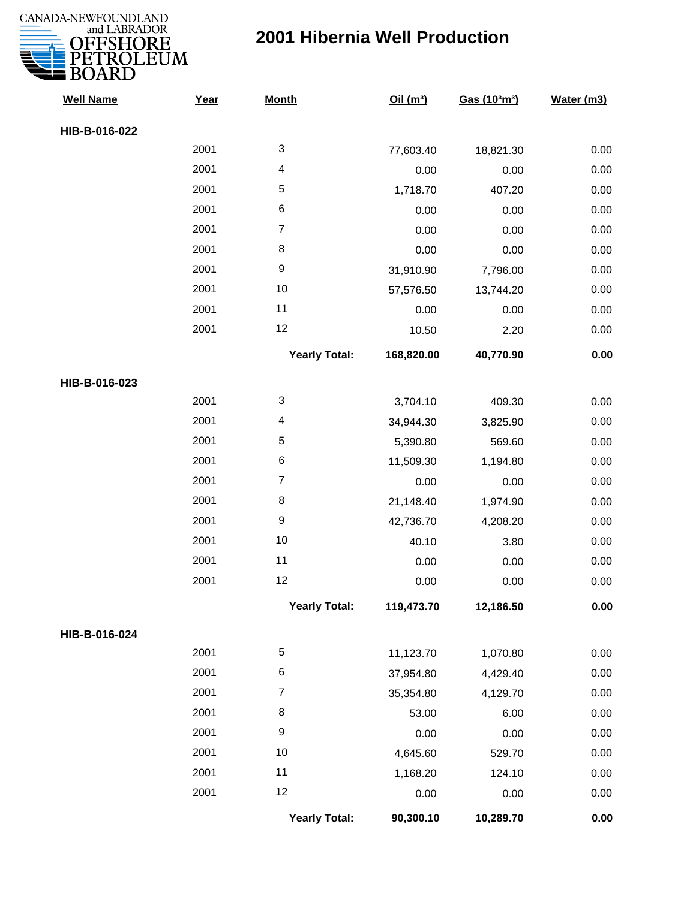

| <b>Well Name</b> | Year | <b>Month</b>            | Oil $(m^3)$ | Gas (103m3) | Water (m3) |
|------------------|------|-------------------------|-------------|-------------|------------|
| HIB-B-016-022    |      |                         |             |             |            |
|                  | 2001 | 3                       | 77,603.40   | 18,821.30   | 0.00       |
|                  | 2001 | $\overline{\mathbf{4}}$ | 0.00        | 0.00        | 0.00       |
|                  | 2001 | 5                       | 1,718.70    | 407.20      | 0.00       |
|                  | 2001 | 6                       | 0.00        | 0.00        | 0.00       |
|                  | 2001 | $\overline{7}$          | 0.00        | 0.00        | 0.00       |
|                  | 2001 | 8                       | 0.00        | 0.00        | 0.00       |
|                  | 2001 | 9                       | 31,910.90   | 7,796.00    | 0.00       |
|                  | 2001 | 10                      | 57,576.50   | 13,744.20   | 0.00       |
|                  | 2001 | 11                      | 0.00        | 0.00        | 0.00       |
|                  | 2001 | 12                      | 10.50       | 2.20        | 0.00       |
|                  |      | <b>Yearly Total:</b>    | 168,820.00  | 40,770.90   | 0.00       |
| HIB-B-016-023    |      |                         |             |             |            |
|                  | 2001 | 3                       | 3,704.10    | 409.30      | 0.00       |
|                  | 2001 | 4                       | 34,944.30   | 3,825.90    | 0.00       |
|                  | 2001 | 5                       | 5,390.80    | 569.60      | 0.00       |
|                  | 2001 | 6                       | 11,509.30   | 1,194.80    | 0.00       |
|                  | 2001 | $\overline{7}$          | 0.00        | 0.00        | 0.00       |
|                  | 2001 | 8                       | 21,148.40   | 1,974.90    | 0.00       |
|                  | 2001 | 9                       | 42,736.70   | 4,208.20    | 0.00       |
|                  | 2001 | 10                      | 40.10       | 3.80        | 0.00       |
|                  | 2001 | 11                      | 0.00        | 0.00        | 0.00       |
|                  | 2001 | 12                      | 0.00        | 0.00        | 0.00       |
|                  |      | <b>Yearly Total:</b>    | 119,473.70  | 12,186.50   | 0.00       |
| HIB-B-016-024    |      |                         |             |             |            |
|                  | 2001 | 5                       | 11,123.70   | 1,070.80    | 0.00       |
|                  | 2001 | 6                       | 37,954.80   | 4,429.40    | 0.00       |
|                  | 2001 | $\overline{7}$          | 35,354.80   | 4,129.70    | 0.00       |
|                  | 2001 | 8                       | 53.00       | 6.00        | 0.00       |
|                  | 2001 | $\boldsymbol{9}$        | 0.00        | 0.00        | 0.00       |
|                  | 2001 | 10                      | 4,645.60    | 529.70      | 0.00       |
|                  | 2001 | 11                      | 1,168.20    | 124.10      | 0.00       |
|                  | 2001 | 12                      | 0.00        | 0.00        | 0.00       |
|                  |      | <b>Yearly Total:</b>    | 90,300.10   | 10,289.70   | 0.00       |